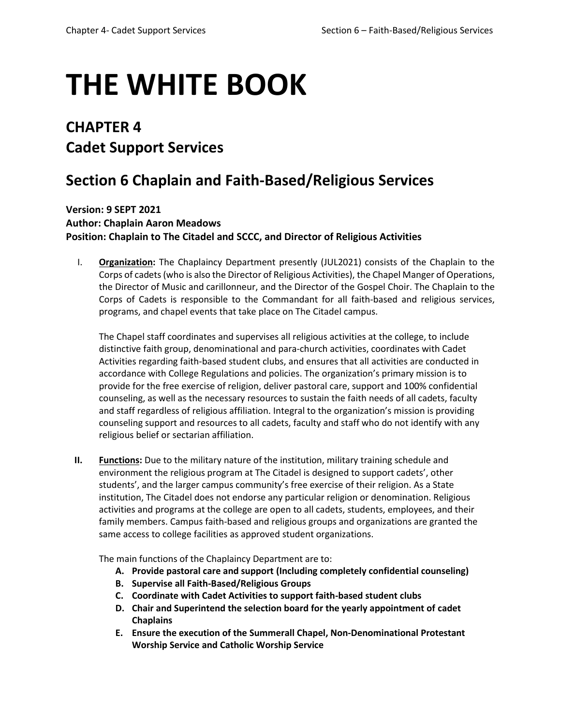# **THE WHITE BOOK**

# **CHAPTER 4 Cadet Support Services**

# **Section 6 Chaplain and Faith-Based/Religious Services**

**Version: 9 SEPT 2021 Author: Chaplain Aaron Meadows Position: Chaplain to The Citadel and SCCC, and Director of Religious Activities** 

I. **Organization:** The Chaplaincy Department presently (JUL2021) consists of the Chaplain to the Corps of cadets (who is also the Director of Religious Activities), the Chapel Manger of Operations, the Director of Music and carillonneur, and the Director of the Gospel Choir. The Chaplain to the Corps of Cadets is responsible to the Commandant for all faith-based and religious services, programs, and chapel events that take place on The Citadel campus.

The Chapel staff coordinates and supervises all religious activities at the college, to include distinctive faith group, denominational and para-church activities, coordinates with Cadet Activities regarding faith-based student clubs, and ensures that all activities are conducted in accordance with College Regulations and policies. The organization's primary mission is to provide for the free exercise of religion, deliver pastoral care, support and 100% confidential counseling, as well as the necessary resources to sustain the faith needs of all cadets, faculty and staff regardless of religious affiliation. Integral to the organization's mission is providing counseling support and resources to all cadets, faculty and staff who do not identify with any religious belief or sectarian affiliation.

**II. Functions:** Due to the military nature of the institution, military training schedule and environment the religious program at The Citadel is designed to support cadets', other students', and the larger campus community's free exercise of their religion. As a State institution, The Citadel does not endorse any particular religion or denomination. Religious activities and programs at the college are open to all cadets, students, employees, and their family members. Campus faith-based and religious groups and organizations are granted the same access to college facilities as approved student organizations.

The main functions of the Chaplaincy Department are to:

- **A. Provide pastoral care and support (Including completely confidential counseling)**
- **B. Supervise all Faith-Based/Religious Groups**
- **C. Coordinate with Cadet Activities to support faith-based student clubs**
- **D. Chair and Superintend the selection board for the yearly appointment of cadet Chaplains**
- **E. Ensure the execution of the Summerall Chapel, Non-Denominational Protestant Worship Service and Catholic Worship Service**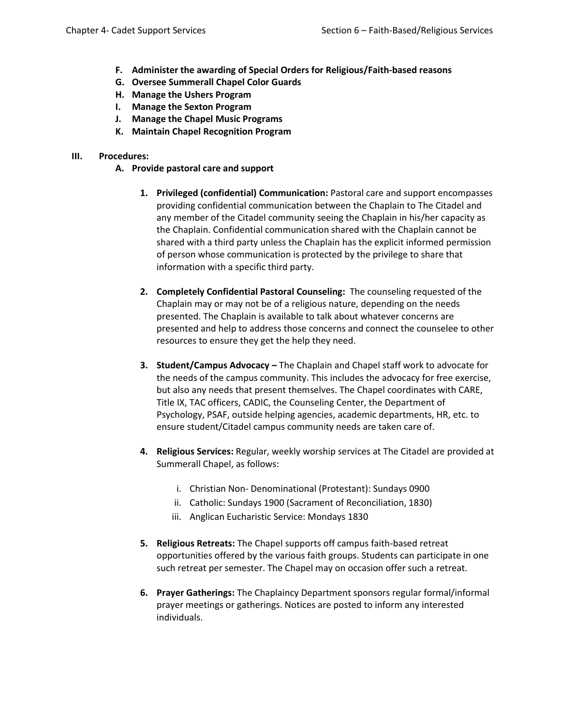- **F. Administer the awarding of Special Orders for Religious/Faith-based reasons**
- **G. Oversee Summerall Chapel Color Guards**
- **H. Manage the Ushers Program**
- **I. Manage the Sexton Program**
- **J. Manage the Chapel Music Programs**
- **K. Maintain Chapel Recognition Program**

### **III. Procedures:**

- **A. Provide pastoral care and support** 
	- **1. Privileged (confidential) Communication:** Pastoral care and support encompasses providing confidential communication between the Chaplain to The Citadel and any member of the Citadel community seeing the Chaplain in his/her capacity as the Chaplain. Confidential communication shared with the Chaplain cannot be shared with a third party unless the Chaplain has the explicit informed permission of person whose communication is protected by the privilege to share that information with a specific third party.
	- **2. Completely Confidential Pastoral Counseling:** The counseling requested of the Chaplain may or may not be of a religious nature, depending on the needs presented. The Chaplain is available to talk about whatever concerns are presented and help to address those concerns and connect the counselee to other resources to ensure they get the help they need.
	- **3. Student/Campus Advocacy –** The Chaplain and Chapel staff work to advocate for the needs of the campus community. This includes the advocacy for free exercise, but also any needs that present themselves. The Chapel coordinates with CARE, Title IX, TAC officers, CADIC, the Counseling Center, the Department of Psychology, PSAF, outside helping agencies, academic departments, HR, etc. to ensure student/Citadel campus community needs are taken care of.
	- **4. Religious Services:** Regular, weekly worship services at The Citadel are provided at Summerall Chapel, as follows:
		- i. Christian Non- Denominational (Protestant): Sundays 0900
		- ii. Catholic: Sundays 1900 (Sacrament of Reconciliation, 1830)
		- iii. Anglican Eucharistic Service: Mondays 1830
	- **5. Religious Retreats:** The Chapel supports off campus faith-based retreat opportunities offered by the various faith groups. Students can participate in one such retreat per semester. The Chapel may on occasion offer such a retreat.
	- **6. Prayer Gatherings:** The Chaplaincy Department sponsors regular formal/informal prayer meetings or gatherings. Notices are posted to inform any interested individuals.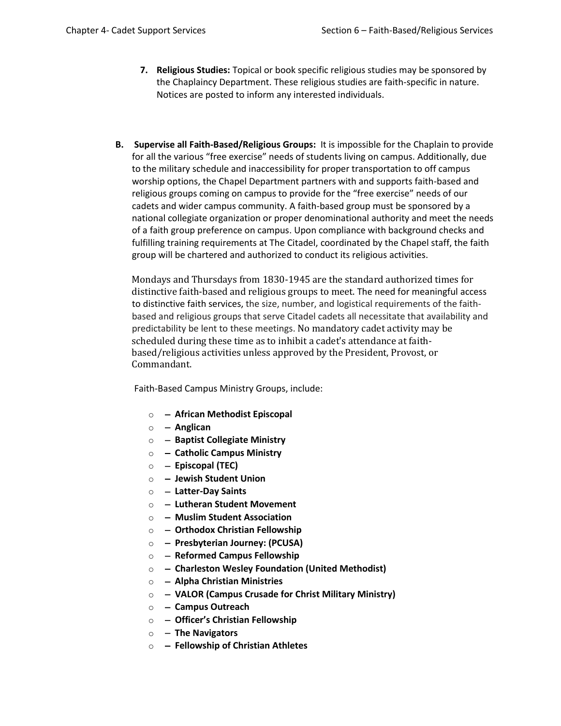- **7. Religious Studies:** Topical or book specific religious studies may be sponsored by the Chaplaincy Department. These religious studies are faith-specific in nature. Notices are posted to inform any interested individuals.
- **B. Supervise all Faith-Based/Religious Groups:** It is impossible for the Chaplain to provide for all the various "free exercise" needs of students living on campus. Additionally, due to the military schedule and inaccessibility for proper transportation to off campus worship options, the Chapel Department partners with and supports faith-based and religious groups coming on campus to provide for the "free exercise" needs of our cadets and wider campus community. A faith-based group must be sponsored by a national collegiate organization or proper denominational authority and meet the needs of a faith group preference on campus. Upon compliance with background checks and fulfilling training requirements at The Citadel, coordinated by the Chapel staff, the faith group will be chartered and authorized to conduct its religious activities.

Mondays and Thursdays from 1830-1945 are the standard authorized times for distinctive faith-based and religious groups to meet. The need for meaningful access to distinctive faith services, the size, number, and logistical requirements of the faithbased and religious groups that serve Citadel cadets all necessitate that availability and predictability be lent to these meetings. No mandatory cadet activity may be scheduled during these time as to inhibit a cadet's attendance at faithbased/religious activities unless approved by the President, Provost, or Commandant.

Faith-Based Campus Ministry Groups, include:

- o − **African Methodist Episcopal**
- o − **Anglican**
- o − **Baptist Collegiate Ministry**
- o − **Catholic Campus Ministry**
- o − **Episcopal (TEC)**
- o − **Jewish Student Union**
- o − **Latter-Day Saints**
- o − **Lutheran Student Movement**
- o − **Muslim Student Association**
- o − **Orthodox Christian Fellowship**
- o − **Presbyterian Journey: (PCUSA)**
- o − **Reformed Campus Fellowship**
- o − **Charleston Wesley Foundation (United Methodist)**
- o − **Alpha Christian Ministries**
- o − **VALOR (Campus Crusade for Christ Military Ministry)**
- o − **Campus Outreach**
- o − **Officer's Christian Fellowship**
- o − **The Navigators**
- o − **Fellowship of Christian Athletes**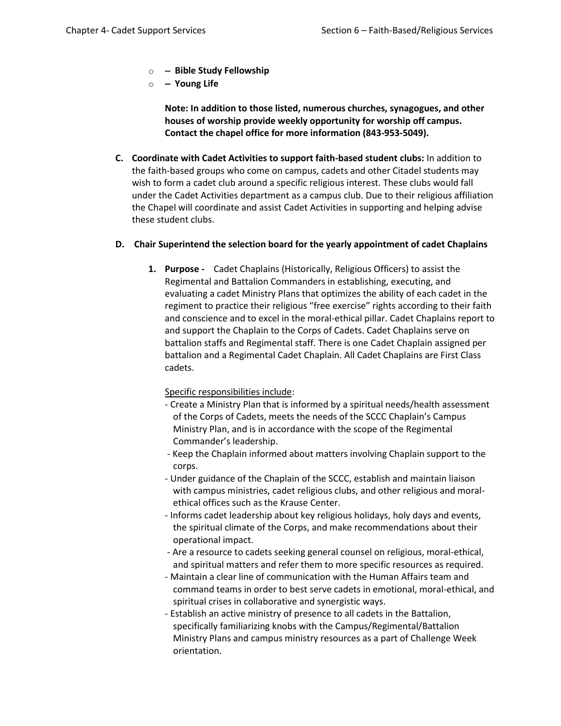- o − **Bible Study Fellowship**
- o − **Young Life**

**Note: In addition to those listed, numerous churches, synagogues, and other houses of worship provide weekly opportunity for worship off campus. Contact the chapel office for more information (843-953-5049).** 

**C. Coordinate with Cadet Activities to support faith-based student clubs:** In addition to the faith-based groups who come on campus, cadets and other Citadel students may wish to form a cadet club around a specific religious interest. These clubs would fall under the Cadet Activities department as a campus club. Due to their religious affiliation the Chapel will coordinate and assist Cadet Activities in supporting and helping advise these student clubs.

# **D. Chair Superintend the selection board for the yearly appointment of cadet Chaplains**

**1. Purpose -** Cadet Chaplains (Historically, Religious Officers) to assist the Regimental and Battalion Commanders in establishing, executing, and evaluating a cadet Ministry Plans that optimizes the ability of each cadet in the regiment to practice their religious "free exercise" rights according to their faith and conscience and to excel in the moral-ethical pillar. Cadet Chaplains report to and support the Chaplain to the Corps of Cadets. Cadet Chaplains serve on battalion staffs and Regimental staff. There is one Cadet Chaplain assigned per battalion and a Regimental Cadet Chaplain. All Cadet Chaplains are First Class cadets.

Specific responsibilities include:

- Create a Ministry Plan that is informed by a spiritual needs/health assessment of the Corps of Cadets, meets the needs of the SCCC Chaplain's Campus Ministry Plan, and is in accordance with the scope of the Regimental Commander's leadership.
- Keep the Chaplain informed about matters involving Chaplain support to the corps.
- Under guidance of the Chaplain of the SCCC, establish and maintain liaison with campus ministries, cadet religious clubs, and other religious and moralethical offices such as the Krause Center.
- Informs cadet leadership about key religious holidays, holy days and events, the spiritual climate of the Corps, and make recommendations about their operational impact.
- Are a resource to cadets seeking general counsel on religious, moral-ethical, and spiritual matters and refer them to more specific resources as required.
- Maintain a clear line of communication with the Human Affairs team and command teams in order to best serve cadets in emotional, moral-ethical, and spiritual crises in collaborative and synergistic ways.
- Establish an active ministry of presence to all cadets in the Battalion, specifically familiarizing knobs with the Campus/Regimental/Battalion Ministry Plans and campus ministry resources as a part of Challenge Week orientation.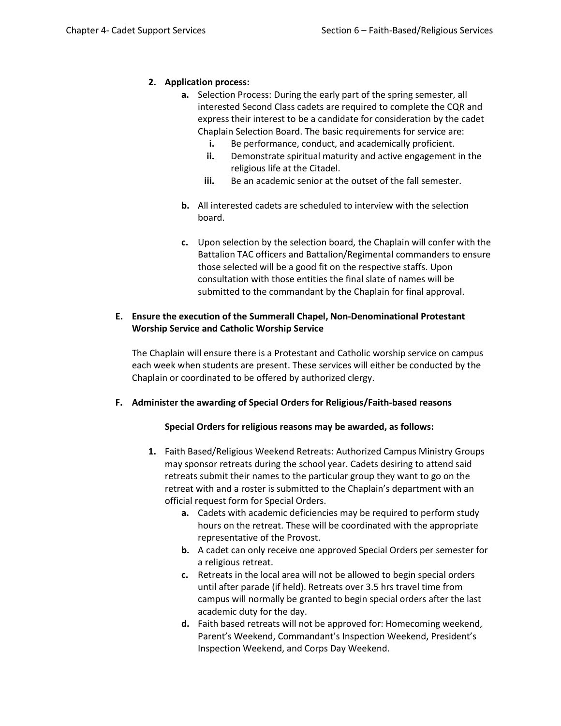# **2. Application process:**

- **a.** Selection Process: During the early part of the spring semester, all interested Second Class cadets are required to complete the CQR and express their interest to be a candidate for consideration by the cadet Chaplain Selection Board. The basic requirements for service are:
	- **i.** Be performance, conduct, and academically proficient.
	- **ii.** Demonstrate spiritual maturity and active engagement in the religious life at the Citadel.
	- **iii.** Be an academic senior at the outset of the fall semester.
- **b.** All interested cadets are scheduled to interview with the selection board.
- **c.** Upon selection by the selection board, the Chaplain will confer with the Battalion TAC officers and Battalion/Regimental commanders to ensure those selected will be a good fit on the respective staffs. Upon consultation with those entities the final slate of names will be submitted to the commandant by the Chaplain for final approval.

# **E. Ensure the execution of the Summerall Chapel, Non-Denominational Protestant Worship Service and Catholic Worship Service**

The Chaplain will ensure there is a Protestant and Catholic worship service on campus each week when students are present. These services will either be conducted by the Chaplain or coordinated to be offered by authorized clergy.

#### **F. Administer the awarding of Special Orders for Religious/Faith-based reasons**

#### **Special Orders for religious reasons may be awarded, as follows:**

- **1.** Faith Based/Religious Weekend Retreats: Authorized Campus Ministry Groups may sponsor retreats during the school year. Cadets desiring to attend said retreats submit their names to the particular group they want to go on the retreat with and a roster is submitted to the Chaplain's department with an official request form for Special Orders.
	- **a.** Cadets with academic deficiencies may be required to perform study hours on the retreat. These will be coordinated with the appropriate representative of the Provost.
	- **b.** A cadet can only receive one approved Special Orders per semester for a religious retreat.
	- **c.** Retreats in the local area will not be allowed to begin special orders until after parade (if held). Retreats over 3.5 hrs travel time from campus will normally be granted to begin special orders after the last academic duty for the day.
	- **d.** Faith based retreats will not be approved for: Homecoming weekend, Parent's Weekend, Commandant's Inspection Weekend, President's Inspection Weekend, and Corps Day Weekend.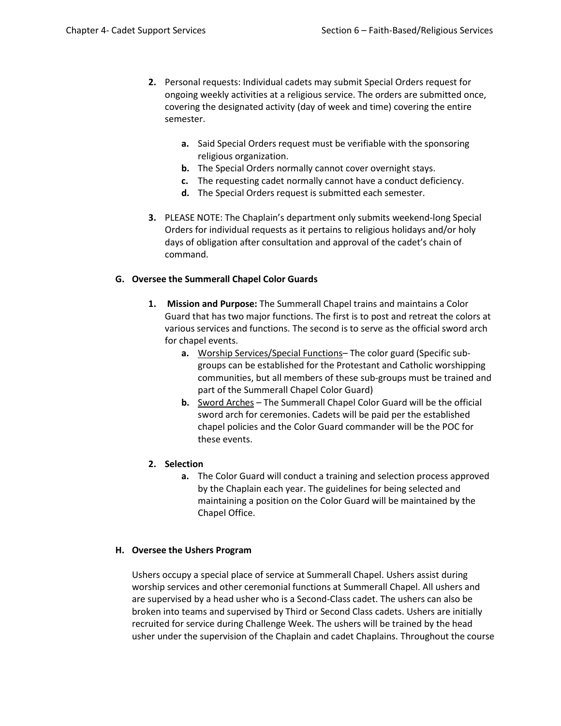- **2.** Personal requests: Individual cadets may submit Special Orders request for ongoing weekly activities at a religious service. The orders are submitted once, covering the designated activity (day of week and time) covering the entire semester.
	- **a.** Said Special Orders request must be verifiable with the sponsoring religious organization.
	- **b.** The Special Orders normally cannot cover overnight stays.
	- **c.** The requesting cadet normally cannot have a conduct deficiency.
	- **d.** The Special Orders request is submitted each semester.
- **3.** PLEASE NOTE: The Chaplain's department only submits weekend-long Special Orders for individual requests as it pertains to religious holidays and/or holy days of obligation after consultation and approval of the cadet's chain of command.

# **G. Oversee the Summerall Chapel Color Guards**

- **1. Mission and Purpose:** The Summerall Chapel trains and maintains a Color Guard that has two major functions. The first is to post and retreat the colors at various services and functions. The second is to serve as the official sword arch for chapel events.
	- **a.** Worship Services/Special Functions– The color guard (Specific subgroups can be established for the Protestant and Catholic worshipping communities, but all members of these sub-groups must be trained and part of the Summerall Chapel Color Guard)
	- **b.** Sword Arches The Summerall Chapel Color Guard will be the official sword arch for ceremonies. Cadets will be paid per the established chapel policies and the Color Guard commander will be the POC for these events.
- **2. Selection**
	- **a.** The Color Guard will conduct a training and selection process approved by the Chaplain each year. The guidelines for being selected and maintaining a position on the Color Guard will be maintained by the Chapel Office.

# **H. Oversee the Ushers Program**

Ushers occupy a special place of service at Summerall Chapel. Ushers assist during worship services and other ceremonial functions at Summerall Chapel. All ushers and are supervised by a head usher who is a Second-Class cadet. The ushers can also be broken into teams and supervised by Third or Second Class cadets. Ushers are initially recruited for service during Challenge Week. The ushers will be trained by the head usher under the supervision of the Chaplain and cadet Chaplains. Throughout the course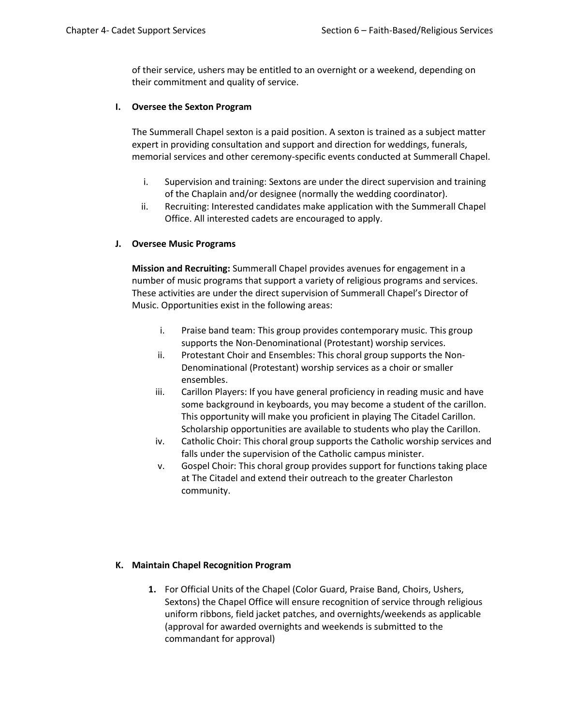of their service, ushers may be entitled to an overnight or a weekend, depending on their commitment and quality of service.

#### **I. Oversee the Sexton Program**

The Summerall Chapel sexton is a paid position. A sexton is trained as a subject matter expert in providing consultation and support and direction for weddings, funerals, memorial services and other ceremony-specific events conducted at Summerall Chapel.

- i. Supervision and training: Sextons are under the direct supervision and training of the Chaplain and/or designee (normally the wedding coordinator).
- ii. Recruiting: Interested candidates make application with the Summerall Chapel Office. All interested cadets are encouraged to apply.

# **J. Oversee Music Programs**

**Mission and Recruiting:** Summerall Chapel provides avenues for engagement in a number of music programs that support a variety of religious programs and services. These activities are under the direct supervision of Summerall Chapel's Director of Music. Opportunities exist in the following areas:

- i. Praise band team: This group provides contemporary music. This group supports the Non-Denominational (Protestant) worship services.
- ii. Protestant Choir and Ensembles: This choral group supports the Non-Denominational (Protestant) worship services as a choir or smaller ensembles.
- iii. Carillon Players: If you have general proficiency in reading music and have some background in keyboards, you may become a student of the carillon. This opportunity will make you proficient in playing The Citadel Carillon. Scholarship opportunities are available to students who play the Carillon.
- iv. Catholic Choir: This choral group supports the Catholic worship services and falls under the supervision of the Catholic campus minister.
- v. Gospel Choir: This choral group provides support for functions taking place at The Citadel and extend their outreach to the greater Charleston community.

#### **K. Maintain Chapel Recognition Program**

**1.** For Official Units of the Chapel (Color Guard, Praise Band, Choirs, Ushers, Sextons) the Chapel Office will ensure recognition of service through religious uniform ribbons, field jacket patches, and overnights/weekends as applicable (approval for awarded overnights and weekends is submitted to the commandant for approval)